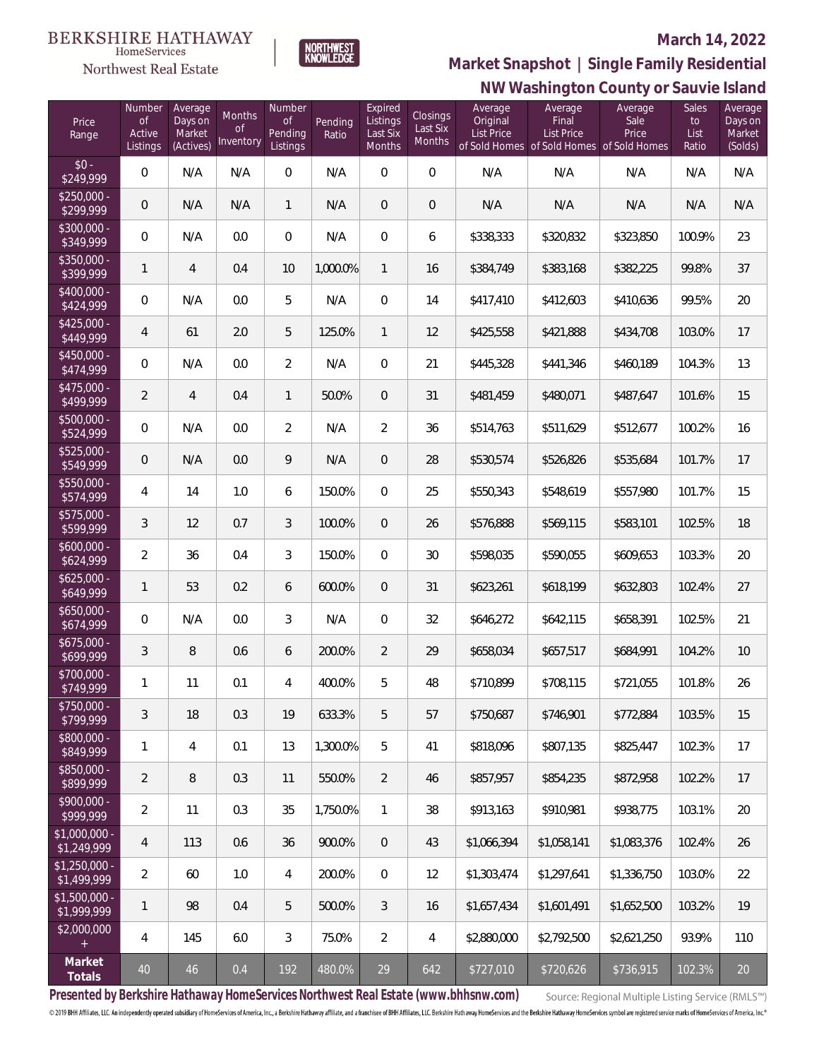Northwest Real Estate



#### **March 14, 2022**

**NW Washington County or Sauvie Island Market Snapshot | Single Family Residential**

| Price<br>Range                | Number<br><b>of</b><br>Active<br>Listings | Average<br>Days on<br>Market<br>(Actives) | Months<br><sub>of</sub><br>Inventory | Number<br><sub>of</sub><br>Pending<br>Listings | Pending<br>Ratio | Expired<br>Listings<br>Last Six<br>Months | Closings<br>Last Six<br>Months | Average<br>Original<br><b>List Price</b> | Average<br>Final<br><b>List Price</b><br>of Sold Homes of Sold Homes of Sold Homes | Average<br>Sale<br>Price | Sales<br>to<br>List<br>Ratio | Average<br>Days on<br>Market<br>(Solds) |
|-------------------------------|-------------------------------------------|-------------------------------------------|--------------------------------------|------------------------------------------------|------------------|-------------------------------------------|--------------------------------|------------------------------------------|------------------------------------------------------------------------------------|--------------------------|------------------------------|-----------------------------------------|
| $$0 -$<br>\$249,999           | $\mathbf 0$                               | N/A                                       | N/A                                  | $\mathbf 0$                                    | N/A              | $\boldsymbol{0}$                          | $\overline{0}$                 | N/A                                      | N/A                                                                                | N/A                      | N/A                          | N/A                                     |
| $$250,000 -$<br>\$299,999     | $\mathbf 0$                               | N/A                                       | N/A                                  | $\mathbf{1}$                                   | N/A              | $\overline{0}$                            | $\theta$                       | N/A                                      | N/A                                                                                | N/A                      | N/A                          | N/A                                     |
| $$300,000 -$<br>\$349,999     | $\mathbf 0$                               | N/A                                       | 0.0                                  | 0                                              | N/A              | 0                                         | 6                              | \$338,333                                | \$320,832                                                                          | \$323,850                | 100.9%                       | 23                                      |
| $$350,000 -$<br>\$399,999     | 1                                         | $\overline{4}$                            | 0.4                                  | 10                                             | 1,000.0%         | $\mathbf{1}$                              | 16                             | \$384,749                                | \$383,168                                                                          | \$382,225                | 99.8%                        | 37                                      |
| $$400,000 -$<br>\$424,999     | $\mathbf 0$                               | N/A                                       | 0.0                                  | 5                                              | N/A              | $\mathbf{0}$                              | 14                             | \$417,410                                | \$412,603                                                                          | \$410,636                | 99.5%                        | 20                                      |
| $$425,000 -$<br>\$449,999     | 4                                         | 61                                        | 2.0                                  | 5                                              | 125.0%           | $\mathbf{1}$                              | 12                             | \$425,558                                | \$421,888                                                                          | \$434,708                | 103.0%                       | 17                                      |
| $$450.000 -$<br>\$474,999     | $\mathbf 0$                               | N/A                                       | 0.0                                  | $\overline{2}$                                 | N/A              | $\mathbf{0}$                              | 21                             | \$445,328                                | \$441,346                                                                          | \$460,189                | 104.3%                       | 13                                      |
| $$475.000 -$<br>\$499,999     | $\overline{a}$                            | 4                                         | 0.4                                  | $\mathbf{1}$                                   | 50.0%            | $\overline{0}$                            | 31                             | \$481,459                                | \$480,071                                                                          | \$487,647                | 101.6%                       | 15                                      |
| $$500,000 -$<br>\$524,999     | $\overline{0}$                            | N/A                                       | 0.0                                  | $\overline{2}$                                 | N/A              | $\overline{2}$                            | 36                             | \$514,763                                | \$511,629                                                                          | \$512,677                | 100.2%                       | 16                                      |
| $$525,000 -$<br>\$549,999     | $\overline{0}$                            | N/A                                       | 0.0                                  | 9                                              | N/A              | $\overline{0}$                            | 28                             | \$530,574                                | \$526,826                                                                          | \$535,684                | 101.7%                       | 17                                      |
| \$550,000 -<br>\$574,999      | 4                                         | 14                                        | 1.0                                  | 6                                              | 150.0%           | $\mathbf{0}$                              | 25                             | \$550,343                                | \$548,619                                                                          | \$557,980                | 101.7%                       | 15                                      |
| \$575,000 -<br>\$599,999      | 3                                         | 12                                        | 0.7                                  | 3                                              | 100.0%           | $\overline{0}$                            | 26                             | \$576,888                                | \$569,115                                                                          | \$583,101                | 102.5%                       | 18                                      |
| $$600,000 -$<br>\$624,999     | $\overline{2}$                            | 36                                        | 0.4                                  | 3                                              | 150.0%           | $\overline{0}$                            | 30                             | \$598,035                                | \$590,055                                                                          | \$609,653                | 103.3%                       | 20                                      |
| $$625,000 -$<br>\$649,999     | 1                                         | 53                                        | 0.2                                  | 6                                              | 600.0%           | $\overline{0}$                            | 31                             | \$623,261                                | \$618,199                                                                          | \$632,803                | 102.4%                       | 27                                      |
| \$650,000 -<br>\$674,999      | $\mathbf 0$                               | N/A                                       | 0.0                                  | 3                                              | N/A              | $\overline{0}$                            | 32                             | \$646,272                                | \$642,115                                                                          | \$658,391                | 102.5%                       | 21                                      |
| $$675,000 -$<br>\$699,999     | 3                                         | $\, 8$                                    | 0.6                                  | 6                                              | 200.0%           | $\overline{2}$                            | 29                             | \$658,034                                | \$657,517                                                                          | \$684,991                | 104.2%                       | 10                                      |
| \$700,000 -<br>\$749,999      | 1                                         | 11                                        | 0.1                                  | 4                                              | 400.0%           | 5                                         | 48                             | \$710,899                                | \$708,115                                                                          | \$721,055                | 101.8%                       | 26                                      |
| \$750,000 -<br>\$799,999      | 3                                         | 18                                        | 0.3                                  | 19                                             | 633.3%           | 5                                         | 57                             | \$750,687                                | \$746,901                                                                          | \$772,884                | 103.5%                       | 15                                      |
| \$800,000 -<br>\$849,999      | 1                                         | 4                                         | 0.1                                  | 13                                             | 1,300.0%         | 5                                         | 41                             | \$818,096                                | \$807,135                                                                          | \$825,447                | 102.3%                       | 17                                      |
| \$850,000 -<br>\$899,999      | $\overline{2}$                            | $\, 8$                                    | 0.3                                  | 11                                             | 550.0%           | $\overline{2}$                            | 46                             | \$857,957                                | \$854,235                                                                          | \$872,958                | 102.2%                       | 17                                      |
| $$900,000 -$<br>\$999,999     | $\sqrt{2}$                                | 11                                        | 0.3                                  | 35                                             | 1,750.0%         | $\mathbf{1}$                              | 38                             | \$913,163                                | \$910,981                                                                          | \$938,775                | 103.1%                       | 20                                      |
| \$1,000,000 -<br>\$1,249,999  | $\overline{4}$                            | 113                                       | 0.6                                  | 36                                             | 900.0%           | $\overline{0}$                            | 43                             | \$1,066.394                              | \$1,058,141                                                                        | \$1,083,376              | 102.4%                       | 26                                      |
| $$1,250,000 -$<br>\$1,499,999 | $\overline{2}$                            | 60                                        | 1.0                                  | 4                                              | 200.0%           | $\mathbf{0}$                              | 12                             | \$1,303,474                              | \$1,297,641                                                                        | \$1,336,750              | 103.0%                       | 22                                      |
| $$1,500,000 -$<br>\$1,999,999 | 1                                         | 98                                        | 0.4                                  | 5                                              | 500.0%           | 3                                         | 16                             | \$1,657,434                              | \$1,601,491                                                                        | \$1,652,500              | 103.2%                       | 19                                      |
| \$2,000,000<br>$+$            | 4                                         | 145                                       | 6.0                                  | $\mathfrak{Z}$                                 | 75.0%            | $\overline{2}$                            | $\overline{4}$                 | \$2,880,000                              | \$2,792,500                                                                        | \$2,621,250              | 93.9%                        | 110                                     |
| Market<br>Totals              | 40                                        | 46                                        | 0.4                                  | 192                                            | 480.0%           | 29                                        | 642                            | \$727,010                                | \$720,626                                                                          | \$736,915                | 102.3%                       | $20\,$                                  |

**Presented by Berkshire Hathaway HomeServices Northwest Real Estate (www.bhhsnw.com)**

Source: Regional Multiple Listing Service (RMLS™)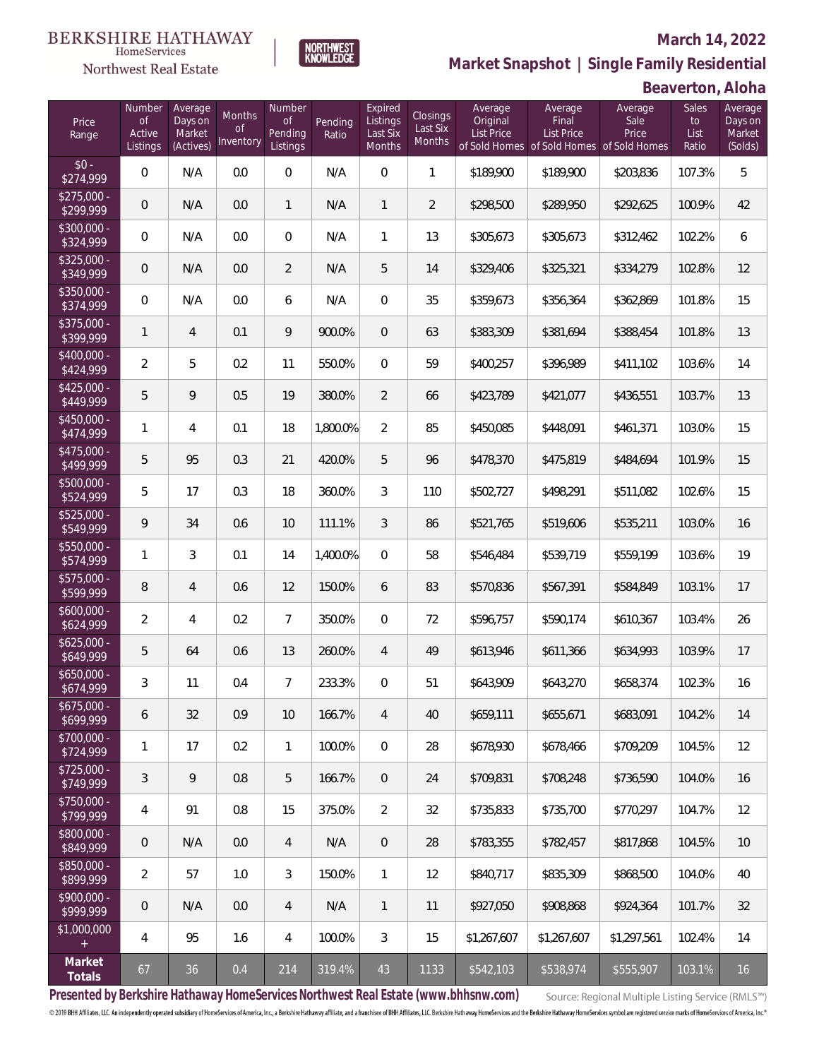### Northwest Real Estate

#### **March 14, 2022**

**Market Snapshot | Single Family Residential**

### **Beaverton, Aloha**

| Price<br>Range            | Number<br><b>of</b><br>Active<br>Listings | Average<br>Days on<br>Market<br>(Actives) | Months<br><b>of</b><br>Inventory | Number<br><b>of</b><br>Pending<br>Listings | Pending<br>Ratio | Expired<br>Listings<br>Last Six<br>Months | Closings<br>Last Six<br><b>Months</b> | Average<br>Original<br><b>List Price</b> | Average<br>Final<br><b>List Price</b><br>of Sold Homes of Sold Homes of Sold Homes | Average<br>Sale<br>Price | Sales<br>to<br>List<br>Ratio | Average<br>Days on<br>Market<br>(Solds) |
|---------------------------|-------------------------------------------|-------------------------------------------|----------------------------------|--------------------------------------------|------------------|-------------------------------------------|---------------------------------------|------------------------------------------|------------------------------------------------------------------------------------|--------------------------|------------------------------|-----------------------------------------|
| $$0 -$<br>\$274,999       | $\overline{0}$                            | N/A                                       | 0.0                              | $\overline{0}$                             | N/A              | $\overline{0}$                            | $\mathbf{1}$                          | \$189,900                                | \$189,900                                                                          | \$203,836                | 107.3%                       | 5                                       |
| $$275,000 -$<br>\$299,999 | $\mathbf 0$                               | N/A                                       | 0.0                              | $\mathbf{1}$                               | N/A              | $\mathbf{1}$                              | $\overline{2}$                        | \$298,500                                | \$289,950                                                                          | \$292,625                | 100.9%                       | 42                                      |
| $$300,000 -$<br>\$324,999 | $\overline{0}$                            | N/A                                       | 0.0                              | $\overline{0}$                             | N/A              | 1                                         | 13                                    | \$305,673                                | \$305,673                                                                          | \$312,462                | 102.2%                       | 6                                       |
| $$325,000 -$<br>\$349,999 | $\overline{0}$                            | N/A                                       | 0.0                              | $\overline{2}$                             | N/A              | 5                                         | 14                                    | \$329,406                                | \$325,321                                                                          | \$334,279                | 102.8%                       | 12                                      |
| $$350,000 -$<br>\$374,999 | $\overline{0}$                            | N/A                                       | 0.0                              | 6                                          | N/A              | $\overline{0}$                            | 35                                    | \$359,673                                | \$356,364                                                                          | \$362,869                | 101.8%                       | 15                                      |
| $$375,000 -$<br>\$399,999 | $\mathbf{1}$                              | $\overline{4}$                            | 0.1                              | 9                                          | 900.0%           | $\overline{0}$                            | 63                                    | \$383,309                                | \$381,694                                                                          | \$388,454                | 101.8%                       | 13                                      |
| $$400,000 -$<br>\$424,999 | $\overline{2}$                            | 5                                         | 0.2                              | 11                                         | 550.0%           | $\mathbf 0$                               | 59                                    | \$400,257                                | \$396,989                                                                          | \$411,102                | 103.6%                       | 14                                      |
| $$425,000 -$<br>\$449,999 | 5                                         | 9                                         | 0.5                              | 19                                         | 380.0%           | $\overline{2}$                            | 66                                    | \$423,789                                | \$421,077                                                                          | \$436,551                | 103.7%                       | 13                                      |
| $$450,000 -$<br>\$474,999 | 1                                         | $\overline{4}$                            | 0.1                              | 18                                         | 1,800.0%         | $\overline{2}$                            | 85                                    | \$450,085                                | \$448,091                                                                          | \$461,371                | 103.0%                       | 15                                      |
| $$475,000 -$<br>\$499,999 | 5                                         | 95                                        | 0.3                              | 21                                         | 420.0%           | 5                                         | 96                                    | \$478,370                                | \$475,819                                                                          | \$484,694                | 101.9%                       | 15                                      |
| $$500,000 -$<br>\$524,999 | 5                                         | 17                                        | 0.3                              | 18                                         | 360.0%           | 3                                         | 110                                   | \$502,727                                | \$498,291                                                                          | \$511,082                | 102.6%                       | 15                                      |
| $$525,000 -$<br>\$549,999 | 9                                         | 34                                        | 0.6                              | 10                                         | 111.1%           | 3                                         | 86                                    | \$521,765                                | \$519,606                                                                          | \$535,211                | 103.0%                       | 16                                      |
| \$550,000 -<br>\$574,999  | 1                                         | 3                                         | 0.1                              | 14                                         | 1,400.0%         | $\Omega$                                  | 58                                    | \$546,484                                | \$539,719                                                                          | \$559,199                | 103.6%                       | 19                                      |
| $$575,000 -$<br>\$599,999 | 8                                         | $\overline{4}$                            | 0.6                              | 12                                         | 150.0%           | 6                                         | 83                                    | \$570,836                                | \$567,391                                                                          | \$584,849                | 103.1%                       | 17                                      |
| $$600,000 -$<br>\$624,999 | $\overline{2}$                            | 4                                         | 0.2                              | $\overline{7}$                             | 350.0%           | $\Omega$                                  | 72                                    | \$596,757                                | \$590,174                                                                          | \$610,367                | 103.4%                       | 26                                      |
| $$625,000 -$<br>\$649,999 | 5                                         | 64                                        | 0.6                              | 13                                         | 260.0%           | $\overline{4}$                            | 49                                    | \$613,946                                | \$611,366                                                                          | \$634,993                | 103.9%                       | 17                                      |
| $$650,000 -$<br>\$674,999 | 3                                         | 11                                        | 0.4                              | $\overline{7}$                             | 233.3%           | $\overline{0}$                            | 51                                    | \$643,909                                | \$643,270                                                                          | \$658,374                | 102.3%                       | 16                                      |
| $$675,000 -$<br>\$699,999 | 6                                         | 32                                        | 0.9                              | 10                                         | 166.7%           | 4                                         | 40                                    | \$659,111                                | \$655,671                                                                          | \$683,091                | 104.2%                       | 14                                      |
| \$700,000 -<br>\$724,999  | $\mathbf{1}$                              | 17                                        | 0.2                              | $\mathbf{1}$                               | 100.0%           | $\mathbf 0$                               | 28                                    | \$678,930                                | \$678,466                                                                          | \$709,209                | 104.5%                       | 12                                      |
| \$725,000 -<br>\$749,999  | 3                                         | 9                                         | 0.8                              | 5                                          | 166.7%           | $\overline{0}$                            | 24                                    | \$709,831                                | \$708,248                                                                          | \$736,590                | 104.0%                       | 16                                      |
| \$750,000 -<br>\$799,999  | 4                                         | 91                                        | 0.8                              | 15                                         | 375.0%           | 2                                         | 32                                    | \$735,833                                | \$735,700                                                                          | \$770,297                | 104.7%                       | 12                                      |
| \$800,000 -<br>\$849,999  | 0                                         | N/A                                       | $0.0\,$                          | 4                                          | N/A              | $\overline{0}$                            | 28                                    | \$783,355                                | \$782,457                                                                          | \$817,868                | 104.5%                       | 10                                      |
| \$850,000 -<br>\$899,999  | $\overline{2}$                            | 57                                        | 1.0                              | 3                                          | 150.0%           | $\mathbf{1}$                              | 12                                    | \$840,717                                | \$835,309                                                                          | \$868,500                | 104.0%                       | 40                                      |
| \$900,000 -<br>\$999,999  | 0                                         | N/A                                       | 0.0                              | 4                                          | N/A              | $\mathbf{1}$                              | 11                                    | \$927,050                                | \$908,868                                                                          | \$924,364                | 101.7%                       | 32                                      |
| \$1,000,000<br>$+$        | 4                                         | 95                                        | 1.6                              | 4                                          | 100.0%           | 3                                         | 15                                    | \$1,267,607                              | \$1,267,607                                                                        | \$1,297,561              | 102.4%                       | 14                                      |
| Market<br>Totals          | 67                                        | 36                                        | 0.4                              | 214                                        | 319.4%           | 43                                        | 1133                                  | \$542,103                                | \$538,974                                                                          | \$555,907                | 103.1%                       | 16                                      |

NORTHWEST<br>KNOWLFDGF

**Presented by Berkshire Hathaway HomeServices Northwest Real Estate (www.bhhsnw.com)**

Source: Regional Multiple Listing Service (RMLS™)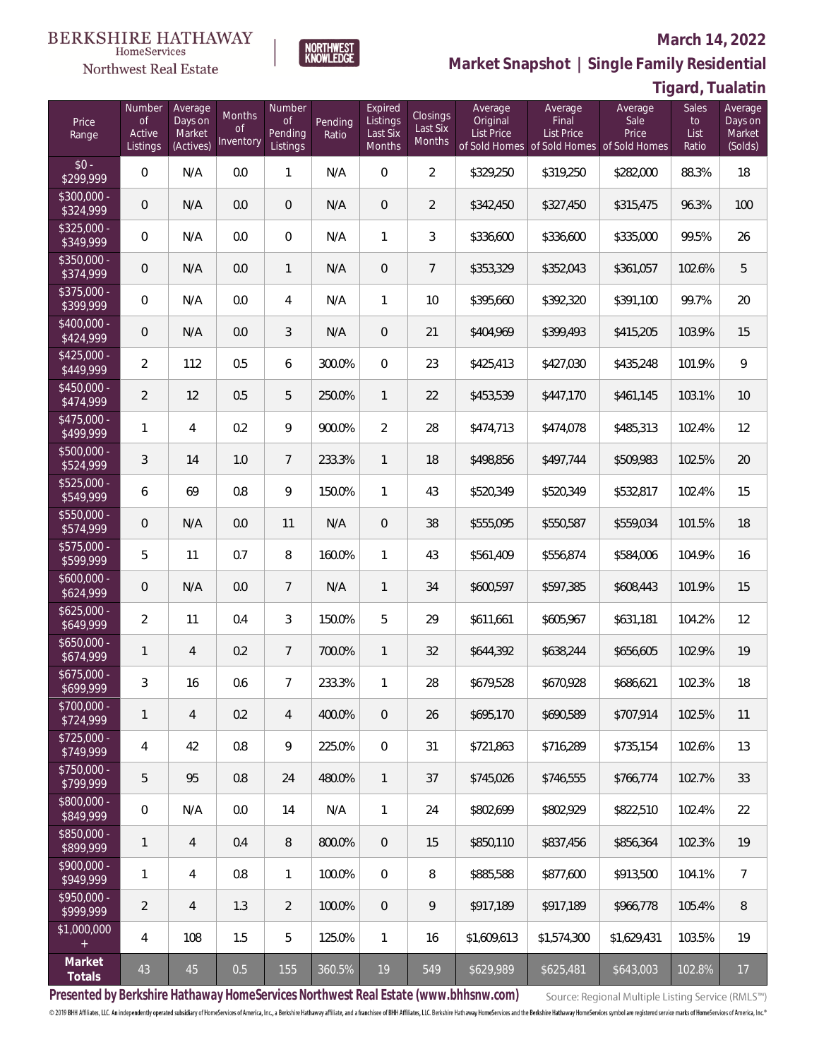# $\begin{array}{llll} \texttt{BERKSHIRE} \texttt{ HATHAWAY} \\ \texttt{\tiny HomeServices} \end{array}$

### Northwest Real Estate

#### **March 14, 2022**



| Tigard, Tualatin |  |
|------------------|--|
|------------------|--|

| Price<br>Range            | Number<br><b>of</b><br>Active<br>Listings | Average<br>Days on<br>Market<br>(Actives) | Months<br><b>of</b><br>Inventory | Number<br><b>of</b><br>Pending<br>Listings | Pending<br>Ratio | Expired<br>Listings<br>Last Six<br>Months | Closings<br>Last Six<br>Months | Average<br>Original<br><b>List Price</b> | Average<br>Final<br>List Price | Average<br>Sale<br>Price<br>of Sold Homes of Sold Homes of Sold Homes | Sales<br>to<br>List<br>Ratio | Average<br>Days on<br>Market<br>(Solds) |
|---------------------------|-------------------------------------------|-------------------------------------------|----------------------------------|--------------------------------------------|------------------|-------------------------------------------|--------------------------------|------------------------------------------|--------------------------------|-----------------------------------------------------------------------|------------------------------|-----------------------------------------|
| $$0 -$<br>\$299,999       | $\overline{0}$                            | N/A                                       | 0.0                              | 1                                          | N/A              | $\overline{0}$                            | $\overline{2}$                 | \$329,250                                | \$319,250                      | \$282,000                                                             | 88.3%                        | 18                                      |
| \$300,000 -<br>\$324,999  | $\overline{0}$                            | N/A                                       | 0.0                              | $\overline{0}$                             | N/A              | $\overline{0}$                            | $\overline{2}$                 | \$342,450                                | \$327,450                      | \$315,475                                                             | 96.3%                        | 100                                     |
| $$325,000 -$<br>\$349,999 | $\overline{0}$                            | N/A                                       | 0.0                              | $\overline{0}$                             | N/A              | $\mathbf{1}$                              | 3                              | \$336,600                                | \$336,600                      | \$335,000                                                             | 99.5%                        | 26                                      |
| $$350,000 -$<br>\$374,999 | $\overline{0}$                            | N/A                                       | 0.0                              | $\mathbf{1}$                               | N/A              | $\overline{0}$                            | $7\overline{ }$                | \$353,329                                | \$352,043                      | \$361,057                                                             | 102.6%                       | 5                                       |
| $$375,000 -$<br>\$399,999 | $\overline{0}$                            | N/A                                       | 0.0                              | $\overline{4}$                             | N/A              | $\mathbf{1}$                              | 10                             | \$395,660                                | \$392,320                      | \$391,100                                                             | 99.7%                        | 20                                      |
| $$400,000 -$<br>\$424,999 | $\overline{0}$                            | N/A                                       | 0.0                              | 3                                          | N/A              | $\overline{0}$                            | 21                             | \$404,969                                | \$399,493                      | \$415,205                                                             | 103.9%                       | 15                                      |
| $$425,000 -$<br>\$449,999 | $\overline{2}$                            | 112                                       | 0.5                              | 6                                          | 300.0%           | $\overline{0}$                            | 23                             | \$425,413                                | \$427,030                      | \$435,248                                                             | 101.9%                       | 9                                       |
| $$450,000 -$<br>\$474,999 | $\overline{2}$                            | 12                                        | 0.5                              | 5                                          | 250.0%           | $\mathbf{1}$                              | 22                             | \$453,539                                | \$447,170                      | \$461,145                                                             | 103.1%                       | 10                                      |
| $$475,000 -$<br>\$499,999 | 1                                         | $\overline{4}$                            | 0.2                              | 9                                          | 900.0%           | $\overline{2}$                            | 28                             | \$474,713                                | \$474,078                      | \$485,313                                                             | 102.4%                       | 12                                      |
| $$500,000 -$<br>\$524,999 | 3                                         | 14                                        | 1.0                              | $\overline{7}$                             | 233.3%           | $\mathbf{1}$                              | 18                             | \$498,856                                | \$497,744                      | \$509,983                                                             | 102.5%                       | 20                                      |
| $$525,000 -$<br>\$549,999 | 6                                         | 69                                        | 0.8                              | 9                                          | 150.0%           | $\mathbf{1}$                              | 43                             | \$520,349                                | \$520,349                      | \$532,817                                                             | 102.4%                       | 15                                      |
| $$550,000 -$<br>\$574,999 | $\overline{0}$                            | N/A                                       | 0.0                              | 11                                         | N/A              | $\overline{0}$                            | 38                             | \$555,095                                | \$550,587                      | \$559,034                                                             | 101.5%                       | 18                                      |
| $$575,000 -$<br>\$599,999 | 5                                         | 11                                        | 0.7                              | 8                                          | 160.0%           | $\mathbf{1}$                              | 43                             | \$561,409                                | \$556,874                      | \$584,006                                                             | 104.9%                       | 16                                      |
| $$600,000 -$<br>\$624,999 | $\overline{0}$                            | N/A                                       | 0.0                              | $\overline{7}$                             | N/A              | $\mathbf{1}$                              | 34                             | \$600,597                                | \$597,385                      | \$608,443                                                             | 101.9%                       | 15                                      |
| $$625,000 -$<br>\$649,999 | $\overline{2}$                            | 11                                        | 0.4                              | 3                                          | 150.0%           | 5                                         | 29                             | \$611,661                                | \$605,967                      | \$631,181                                                             | 104.2%                       | 12                                      |
| $$650,000 -$<br>\$674,999 | 1                                         | $\overline{4}$                            | 0.2                              | $\overline{7}$                             | 700.0%           | $\mathbf{1}$                              | 32                             | \$644,392                                | \$638,244                      | \$656,605                                                             | 102.9%                       | 19                                      |
| $$675,000 -$<br>\$699,999 | 3                                         | 16                                        | 0.6                              | $\overline{7}$                             | 233.3%           | $\mathbf{1}$                              | 28                             | \$679,528                                | \$670,928                      | \$686,621                                                             | 102.3%                       | 18                                      |
| \$700,000 -<br>\$724,999  | 1                                         | $\overline{4}$                            | 0.2                              | 4                                          | 400.0%           | $\overline{0}$                            | 26                             | \$695,170                                | \$690,589                      | \$707,914                                                             | 102.5%                       | 11                                      |
| \$725,000 -<br>\$749,999  | 4                                         | 42                                        | 0.8                              | $\overline{9}$                             | 225.0%           | $\mathbb O$                               | 31                             | \$721,863                                | \$716,289                      | \$735,154                                                             | 102.6%                       | 13                                      |
| \$750,000 -<br>\$799,999  | 5                                         | 95                                        | $0.8\,$                          | 24                                         | 480.0%           | $\mathbf{1}$                              | 37                             | \$745,026                                | \$746,555                      | \$766,774                                                             | 102.7%                       | 33                                      |
| \$800,000 -<br>\$849,999  | 0                                         | N/A                                       | 0.0                              | 14                                         | N/A              | $\mathbf{1}$                              | 24                             | \$802,699                                | \$802,929                      | \$822,510                                                             | 102.4%                       | 22                                      |
| \$850,000 -<br>\$899,999  | 1                                         | 4                                         | 0.4                              | 8                                          | 800.0%           | $\mathbf{0}$                              | 15                             | \$850,110                                | \$837,456                      | \$856,364                                                             | 102.3%                       | 19                                      |
| \$900,000 -<br>\$949,999  | 1                                         | 4                                         | 0.8                              | 1                                          | 100.0%           | $\mathbf 0$                               | 8                              | \$885,588                                | \$877,600                      | \$913,500                                                             | 104.1%                       | $\overline{7}$                          |
| \$950,000 -<br>\$999,999  | $\overline{2}$                            | $\overline{4}$                            | 1.3                              | $\overline{2}$                             | 100.0%           | $\mathbf 0$                               | 9                              | \$917,189                                | \$917,189                      | \$966,778                                                             | 105.4%                       | $\, 8$                                  |
| \$1,000,000<br>$+$        | 4                                         | 108                                       | 1.5                              | 5                                          | 125.0%           | $\mathbf{1}$                              | 16                             | \$1,609,613                              | \$1,574,300                    | \$1,629,431                                                           | 103.5%                       | 19                                      |
| Market<br>Totals          | $43\,$                                    | $45\,$                                    | 0.5                              | 155                                        | 360.5%           | $19$                                      | 549                            | \$629,989                                | \$625,481                      | \$643,003                                                             | 102.8%                       | 17                                      |

NORTHWEST<br>KNOWLFDGF

**Presented by Berkshire Hathaway HomeServices Northwest Real Estate (www.bhhsnw.com)**

Source: Regional Multiple Listing Service (RMLS™)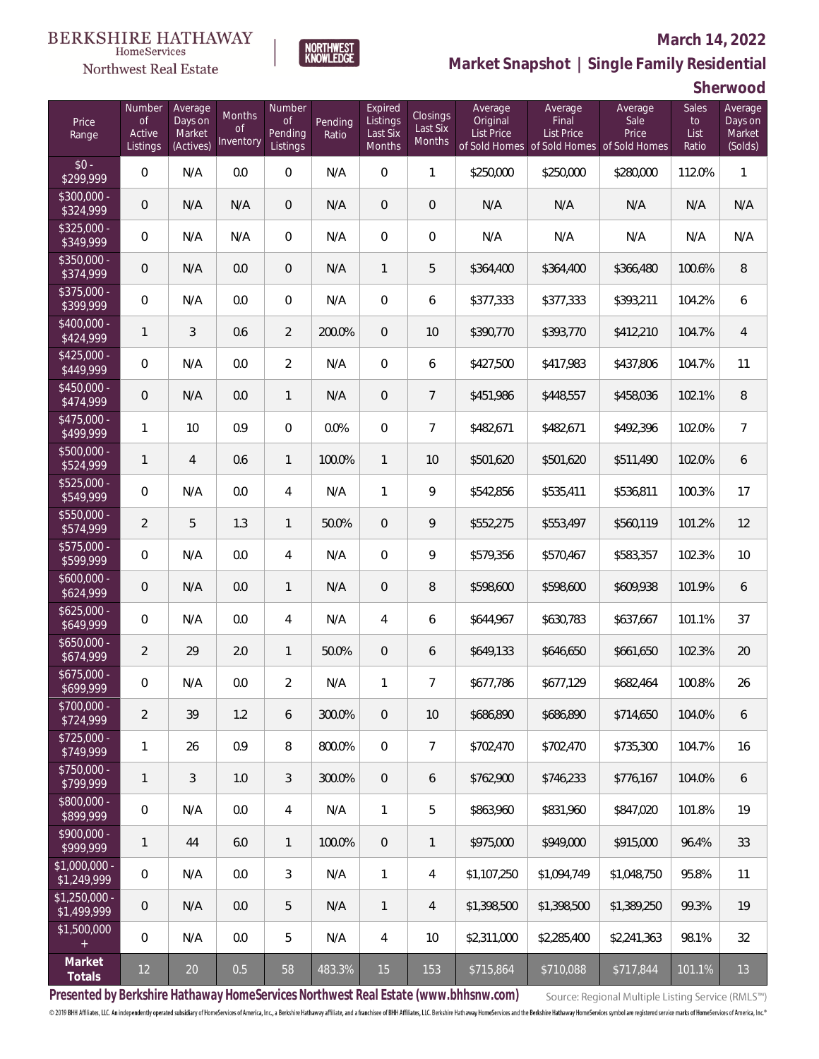### Northwest Real Estate

### **March 14, 2022**



### **Market Snapshot | Single Family Residential**

**Sherwood**

| Price<br>Range                | Number<br><b>of</b><br>Active<br>Listings | Average<br>Days on<br>Market<br>(Actives) | <b>Months</b><br><b>of</b><br>Inventory | Number<br><b>of</b><br>Pending<br>Listings | Pending<br>Ratio | Expired<br>Listings<br>Last Six<br>Months | Closings<br>Last Six<br>Months | Average<br>Original<br><b>List Price</b> | Average<br>Final<br>List Price | Average<br>Sale<br>Price<br>of Sold Homes of Sold Homes of Sold Homes | Sales<br>to<br>List<br>Ratio | Average<br>Days on<br>Market<br>(Solds) |
|-------------------------------|-------------------------------------------|-------------------------------------------|-----------------------------------------|--------------------------------------------|------------------|-------------------------------------------|--------------------------------|------------------------------------------|--------------------------------|-----------------------------------------------------------------------|------------------------------|-----------------------------------------|
| $$0 -$<br>\$299,999           | $\overline{0}$                            | N/A                                       | 0.0                                     | $\overline{0}$                             | N/A              | $\overline{0}$                            | $\mathbf{1}$                   | \$250,000                                | \$250,000                      | \$280,000                                                             | 112.0%                       | $\mathbf{1}$                            |
| \$300,000 -<br>\$324,999      | $\overline{0}$                            | N/A                                       | N/A                                     | $\overline{0}$                             | N/A              | $\overline{0}$                            | $\overline{0}$                 | N/A                                      | N/A                            | N/A                                                                   | N/A                          | N/A                                     |
| $$325,000 -$<br>\$349,999     | $\overline{0}$                            | N/A                                       | N/A                                     | $\overline{0}$                             | N/A              | $\Omega$                                  | $\overline{0}$                 | N/A                                      | N/A                            | N/A                                                                   | N/A                          | N/A                                     |
| $$350,000 -$<br>\$374,999     | $\overline{0}$                            | N/A                                       | 0.0                                     | $\overline{0}$                             | N/A              | $\mathbf{1}$                              | 5                              | \$364,400                                | \$364,400                      | \$366,480                                                             | 100.6%                       | 8                                       |
| $$375,000 -$<br>\$399,999     | $\overline{0}$                            | N/A                                       | 0.0                                     | $\overline{0}$                             | N/A              | $\overline{0}$                            | 6                              | \$377,333                                | \$377,333                      | \$393,211                                                             | 104.2%                       | 6                                       |
| $$400,000 -$<br>\$424,999     | $\mathbf{1}$                              | 3                                         | 0.6                                     | $\overline{2}$                             | 200.0%           | 0                                         | 10                             | \$390,770                                | \$393,770                      | \$412,210                                                             | 104.7%                       | $\overline{4}$                          |
| $$425,000 -$<br>\$449,999     | $\overline{0}$                            | N/A                                       | 0.0                                     | $\overline{2}$                             | N/A              | $\overline{0}$                            | 6                              | \$427,500                                | \$417,983                      | \$437,806                                                             | 104.7%                       | 11                                      |
| $$450,000 -$<br>\$474,999     | $\overline{0}$                            | N/A                                       | 0.0                                     | $\mathbf{1}$                               | N/A              | $\overline{0}$                            | $\overline{7}$                 | \$451,986                                | \$448,557                      | \$458,036                                                             | 102.1%                       | 8                                       |
| $$475,000 -$<br>\$499,999     | $\mathbf{1}$                              | 10                                        | 0.9                                     | $\overline{0}$                             | 0.0%             | $\overline{0}$                            | $\overline{7}$                 | \$482,671                                | \$482,671                      | \$492,396                                                             | 102.0%                       | $\overline{7}$                          |
| \$500,000 -<br>\$524,999      | $\mathbf{1}$                              | $\overline{4}$                            | 0.6                                     | $\mathbf{1}$                               | 100.0%           | $\mathbf{1}$                              | 10                             | \$501,620                                | \$501,620                      | \$511,490                                                             | 102.0%                       | 6                                       |
| $$525,000 -$<br>\$549,999     | $\mathbf{0}$                              | N/A                                       | 0.0                                     | 4                                          | N/A              | 1                                         | 9                              | \$542,856                                | \$535,411                      | \$536,811                                                             | 100.3%                       | 17                                      |
| $$550,000 -$<br>\$574,999     | $\overline{2}$                            | 5                                         | 1.3                                     | $\mathbf{1}$                               | 50.0%            | $\overline{0}$                            | 9                              | \$552,275                                | \$553,497                      | \$560,119                                                             | 101.2%                       | 12                                      |
| $$575,000 -$<br>\$599,999     | $\mathbf{0}$                              | N/A                                       | 0.0                                     | 4                                          | N/A              | $\Omega$                                  | 9                              | \$579,356                                | \$570,467                      | \$583,357                                                             | 102.3%                       | 10                                      |
| $$600,000 -$<br>\$624,999     | $\mathbf 0$                               | N/A                                       | 0.0                                     | $\mathbf{1}$                               | N/A              | $\overline{0}$                            | 8                              | \$598,600                                | \$598,600                      | \$609,938                                                             | 101.9%                       | 6                                       |
| $$625,000 -$<br>\$649,999     | $\overline{0}$                            | N/A                                       | 0.0                                     | 4                                          | N/A              | $\overline{4}$                            | 6                              | \$644,967                                | \$630,783                      | \$637,667                                                             | 101.1%                       | 37                                      |
| $$650,000 -$<br>\$674,999     | $\overline{2}$                            | 29                                        | 2.0                                     | $\mathbf{1}$                               | 50.0%            | $\mathbf 0$                               | 6                              | \$649,133                                | \$646,650                      | \$661,650                                                             | 102.3%                       | 20                                      |
| $$675,000 -$<br>\$699,999     | $\mathbf 0$                               | N/A                                       | 0.0                                     | $\overline{2}$                             | N/A              | 1                                         | $\overline{7}$                 | \$677,786                                | \$677,129                      | \$682,464                                                             | 100.8%                       | 26                                      |
| \$700,000 -<br>\$724,999      | $\overline{2}$                            | 39                                        | 1.2                                     | 6                                          | 300.0%           | 0                                         | 10                             | \$686,890                                | \$686,890                      | \$714,650                                                             | 104.0%                       | 6                                       |
| $$725,000 -$<br>\$749,999     | 1                                         | 26                                        | 0.9                                     | 8                                          | 800.0%           | $\mathbb O$                               | $\overline{7}$                 | \$702,470                                | \$702,470                      | \$735,300                                                             | 104.7%                       | 16                                      |
| \$750,000 -<br>\$799,999      | $\mathbf{1}$                              | 3                                         | 1.0                                     | 3                                          | 300.0%           | $\overline{0}$                            | 6                              | \$762,900                                | \$746,233                      | \$776,167                                                             | 104.0%                       | 6                                       |
| \$800,000 -<br>\$899,999      | $\overline{0}$                            | N/A                                       | 0.0                                     | 4                                          | N/A              | $\mathbf{1}$                              | 5                              | \$863,960                                | \$831,960                      | \$847,020                                                             | 101.8%                       | 19                                      |
| \$900,000 -<br>\$999,999      | $\mathbf{1}$                              | 44                                        | $6.0\,$                                 | $\mathbf{1}$                               | 100.0%           | $\overline{0}$                            | 1                              | \$975,000                                | \$949,000                      | \$915,000                                                             | 96.4%                        | 33                                      |
| \$1,000,000 -<br>\$1,249,999  | 0                                         | N/A                                       | 0.0                                     | 3                                          | N/A              | $\mathbf{1}$                              | 4                              | \$1,107,250                              | \$1,094,749                    | \$1,048,750                                                           | 95.8%                        | 11                                      |
| $$1,250,000 -$<br>\$1,499,999 | $\mathbf 0$                               | N/A                                       | 0.0                                     | 5                                          | N/A              | $\mathbf{1}$                              | 4                              | \$1,398,500                              | \$1,398,500                    | \$1,389,250                                                           | 99.3%                        | 19                                      |
| \$1,500,000<br>$+$            | $\overline{0}$                            | N/A                                       | 0.0                                     | 5                                          | N/A              | 4                                         | 10                             | \$2,311,000                              | \$2,285,400                    | \$2,241,363                                                           | 98.1%                        | 32                                      |
| Market<br>Totals              | $12 \overline{)}$                         | $20\,$                                    | 0.5                                     | 58                                         | 483.3%           | 15                                        | 153                            | \$715,864                                | \$710,088                      | \$717,844                                                             | 101.1%                       | 13                                      |

**Presented by Berkshire Hathaway HomeServices Northwest Real Estate (www.bhhsnw.com)**

Source: Regional Multiple Listing Service (RMLS™)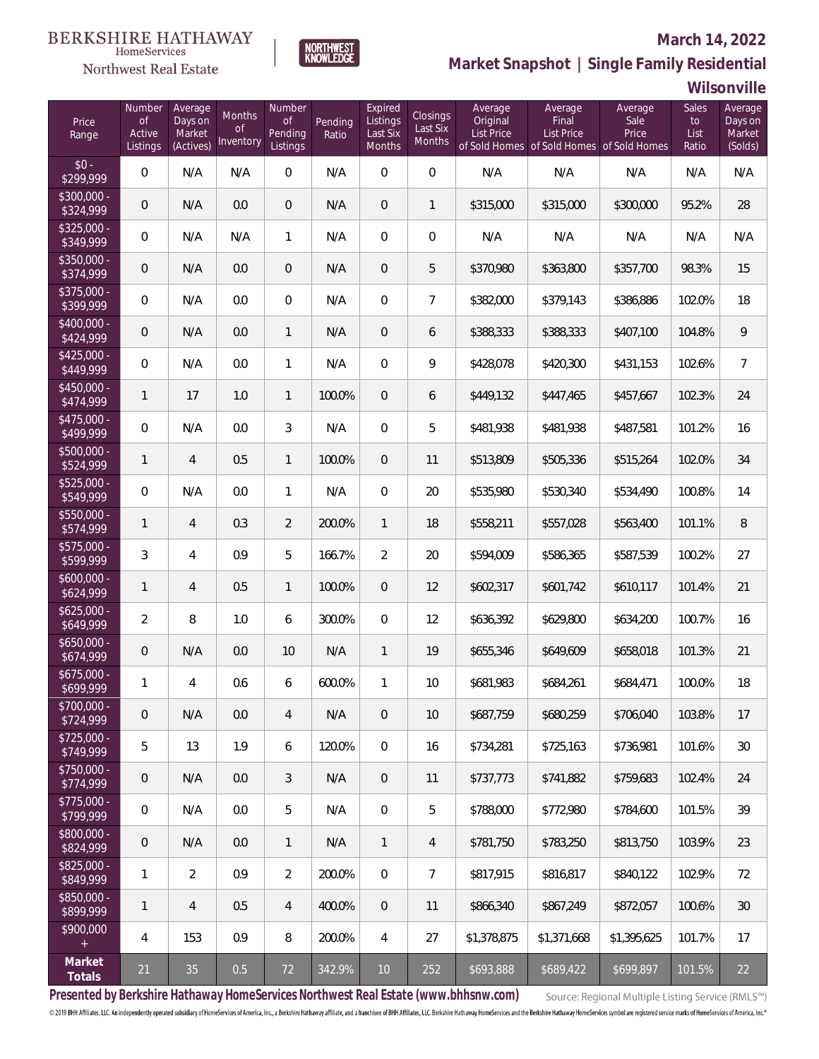### Northwest Real Estate

### **March 14, 2022**



### **Market Snapshot | Single Family Residential**

**Wilsonville**

| Price<br>Range            | Number<br><b>of</b><br>Active<br>Listings | Average<br>Days on<br>Market<br>(Actives) | Months<br><b>of</b><br>Inventory | Number<br><b>of</b><br>Pending<br>Listings | Pending<br>Ratio | Expired<br>Listings<br>Last Six<br>Months | <b>Closings</b><br>Last Six<br>Months | Average<br>Original<br><b>List Price</b> | Average<br>Final<br>List Price | Average<br>Sale<br>Price<br>of Sold Homes of Sold Homes of Sold Homes | Sales<br>to<br>List<br>Ratio | Average<br>Days on<br>Market<br>(Solds) |
|---------------------------|-------------------------------------------|-------------------------------------------|----------------------------------|--------------------------------------------|------------------|-------------------------------------------|---------------------------------------|------------------------------------------|--------------------------------|-----------------------------------------------------------------------|------------------------------|-----------------------------------------|
| $$0 -$<br>\$299,999       | $\overline{0}$                            | N/A                                       | N/A                              | $\overline{0}$                             | N/A              | $\overline{0}$                            | $\overline{0}$                        | N/A                                      | N/A                            | N/A                                                                   | N/A                          | N/A                                     |
| $$300,000 -$<br>\$324,999 | $\mathbf 0$                               | N/A                                       | 0.0                              | $\overline{0}$                             | N/A              | $\mathbf 0$                               | $\mathbf{1}$                          | \$315,000                                | \$315,000                      | \$300,000                                                             | 95.2%                        | 28                                      |
| $$325,000 -$<br>\$349,999 | $\boldsymbol{0}$                          | N/A                                       | N/A                              | 1                                          | N/A              | $\mathbf 0$                               | $\overline{0}$                        | N/A                                      | N/A                            | N/A                                                                   | N/A                          | N/A                                     |
| $$350,000 -$<br>\$374,999 | $\mathbf 0$                               | N/A                                       | 0.0                              | $\boldsymbol{0}$                           | N/A              | $\mathbf 0$                               | 5                                     | \$370,980                                | \$363,800                      | \$357,700                                                             | 98.3%                        | 15                                      |
| $$375,000 -$<br>\$399,999 | $\boldsymbol{0}$                          | N/A                                       | 0.0                              | $\mathbf 0$                                | N/A              | $\mathbf 0$                               | $\overline{7}$                        | \$382,000                                | \$379,143                      | \$386,886                                                             | 102.0%                       | 18                                      |
| $$400,000 -$<br>\$424,999 | $\boldsymbol{0}$                          | N/A                                       | 0.0                              | $\mathbf{1}$                               | N/A              | $\mathbf 0$                               | 6                                     | \$388,333                                | \$388,333                      | \$407,100                                                             | 104.8%                       | $\mathcal{Q}$                           |
| $$425,000 -$<br>\$449,999 | $\boldsymbol{0}$                          | N/A                                       | 0.0                              | $\mathbf{1}$                               | N/A              | $\mathbf 0$                               | 9                                     | \$428,078                                | \$420,300                      | \$431,153                                                             | 102.6%                       | $\overline{7}$                          |
| $$450,000 -$<br>\$474,999 | 1                                         | 17                                        | 1.0                              | $\mathbf{1}$                               | 100.0%           | $\overline{0}$                            | 6                                     | \$449,132                                | \$447,465                      | \$457,667                                                             | 102.3%                       | 24                                      |
| $$475,000 -$<br>\$499,999 | $\overline{0}$                            | N/A                                       | 0.0                              | 3                                          | N/A              | $\Omega$                                  | 5                                     | \$481,938                                | \$481,938                      | \$487,581                                                             | 101.2%                       | 16                                      |
| \$500,000 -<br>\$524,999  | 1                                         | $\overline{4}$                            | 0.5                              | $\mathbf{1}$                               | 100.0%           | $\overline{0}$                            | 11                                    | \$513,809                                | \$505,336                      | \$515,264                                                             | 102.0%                       | 34                                      |
| $$525,000 -$<br>\$549,999 | $\overline{0}$                            | N/A                                       | 0.0                              | $\mathbf{1}$                               | N/A              | $\overline{0}$                            | 20                                    | \$535,980                                | \$530,340                      | \$534,490                                                             | 100.8%                       | 14                                      |
| \$550,000 -<br>\$574,999  | $\mathbf{1}$                              | $\overline{4}$                            | 0.3                              | $\overline{2}$                             | 200.0%           | $\mathbf{1}$                              | 18                                    | \$558,211                                | \$557,028                      | \$563,400                                                             | 101.1%                       | 8                                       |
| $$575,000 -$<br>\$599,999 | 3                                         | $\overline{4}$                            | 0.9                              | 5                                          | 166.7%           | $\mathfrak{D}$                            | 20                                    | \$594,009                                | \$586,365                      | \$587,539                                                             | 100.2%                       | 27                                      |
| $$600,000 -$<br>\$624,999 | $\mathbf{1}$                              | $\overline{4}$                            | 0.5                              | $\mathbf{1}$                               | 100.0%           | $\overline{0}$                            | 12                                    | \$602,317                                | \$601,742                      | \$610,117                                                             | 101.4%                       | 21                                      |
| $$625,000 -$<br>\$649,999 | $\overline{2}$                            | 8                                         | 1.0                              | 6                                          | 300.0%           | $\Omega$                                  | 12                                    | \$636,392                                | \$629,800                      | \$634,200                                                             | 100.7%                       | 16                                      |
| $$650,000 -$<br>\$674,999 | $\overline{0}$                            | N/A                                       | 0.0                              | 10                                         | N/A              | 1                                         | 19                                    | \$655,346                                | \$649,609                      | \$658,018                                                             | 101.3%                       | 21                                      |
| $$675,000 -$<br>\$699,999 | 1                                         | 4                                         | 0.6                              | 6                                          | 600.0%           | $\mathbf{1}$                              | 10                                    | \$681,983                                | \$684,261                      | \$684,471                                                             | 100.0%                       | 18                                      |
| \$700,000 -<br>\$724,999  | $\mathsf{O}\xspace$                       | N/A                                       | $0.0\,$                          | 4                                          | N/A              | $\overline{0}$                            | 10                                    | \$687,759                                | \$680,259                      | \$706,040                                                             | 103.8%                       | 17                                      |
| $$725,000 -$<br>\$749,999 | 5                                         | 13                                        | 1.9                              | 6                                          | 120.0%           | $\overline{0}$                            | 16                                    | \$734,281                                | \$725,163                      | \$736,981                                                             | 101.6%                       | $30\,$                                  |
| \$750,000 -<br>\$774,999  | 0                                         | N/A                                       | $0.0\,$                          | 3                                          | N/A              | $\overline{0}$                            | 11                                    | \$737,773                                | \$741,882                      | \$759,683                                                             | 102.4%                       | 24                                      |
| $$775,000 -$<br>\$799,999 | $\overline{0}$                            | N/A                                       | 0.0                              | 5                                          | N/A              | $\mathbf 0$                               | 5                                     | \$788,000                                | \$772,980                      | \$784,600                                                             | 101.5%                       | 39                                      |
| \$800,000 -<br>\$824,999  | 0                                         | N/A                                       | 0.0                              | $\mathbf{1}$                               | N/A              | 1                                         | 4                                     | \$781,750                                | \$783,250                      | \$813,750                                                             | 103.9%                       | 23                                      |
| \$825,000 -<br>\$849,999  | 1                                         | $\overline{2}$                            | 0.9                              | $\overline{2}$                             | 200.0%           | $\overline{0}$                            | 7                                     | \$817,915                                | \$816,817                      | \$840,122                                                             | 102.9%                       | 72                                      |
| \$850,000 -<br>\$899,999  | 1                                         | $\overline{4}$                            | 0.5                              | $\overline{4}$                             | 400.0%           | $\overline{0}$                            | 11                                    | \$866,340                                | \$867,249                      | \$872,057                                                             | 100.6%                       | 30                                      |
| \$900,000<br>$+$          | 4                                         | 153                                       | 0.9                              | 8                                          | 200.0%           | 4                                         | 27                                    | \$1,378,875                              | \$1,371,668                    | \$1,395,625                                                           | 101.7%                       | 17                                      |
| Market<br>Totals          | 21                                        | 35                                        | 0.5                              | 72                                         | 342.9%           | $10$                                      | 252                                   | \$693,888                                | \$689,422                      | \$699,897                                                             | 101.5%                       | 22                                      |

**Presented by Berkshire Hathaway HomeServices Northwest Real Estate (www.bhhsnw.com)**

Source: Regional Multiple Listing Service (RMLS™)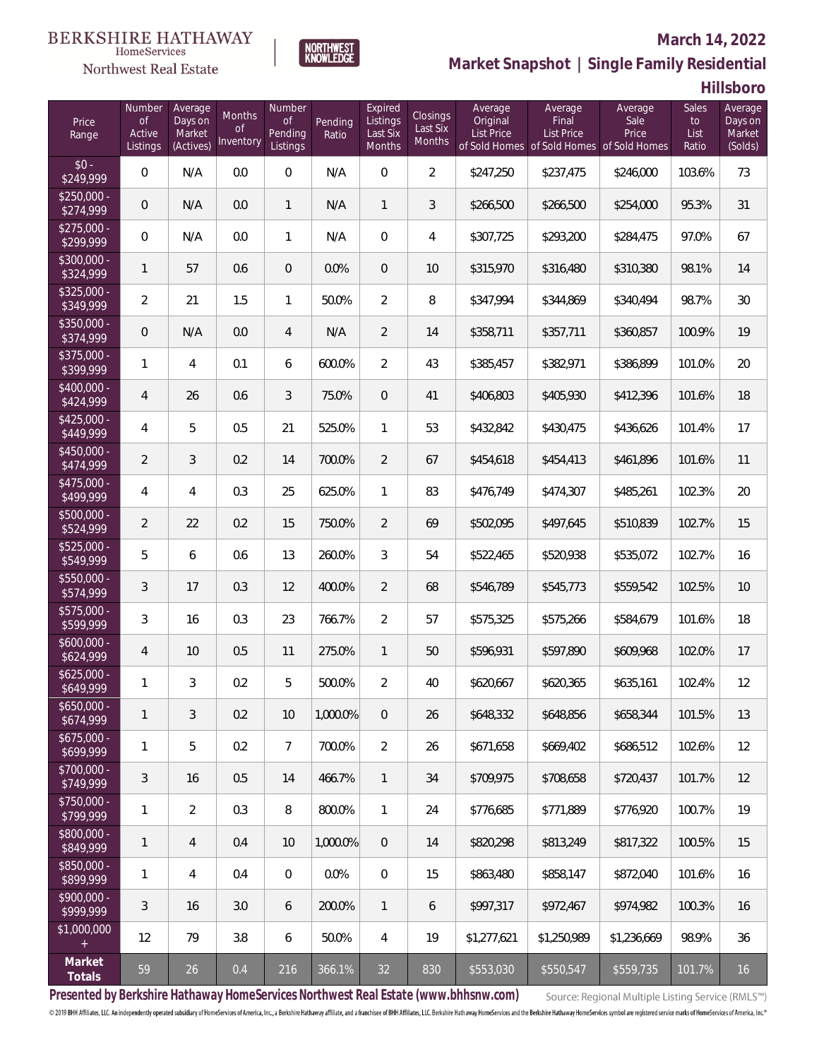### Northwest Real Estate

### **March 14, 2022**



### **Market Snapshot | Single Family Residential**

**Hillsboro**

| Price<br>Range            | Number<br><b>of</b><br>Active<br>Listings | Average<br>Days on<br>Market<br>(Actives) | <b>Months</b><br><b>of</b><br>Inventory | Number<br><b>of</b><br>Pending<br>Listings | Pending<br>Ratio | Expired<br>Listings<br>Last Six<br>Months | Closings<br>Last Six<br>Months | Average<br>Original<br><b>List Price</b> | Average<br>Final<br>List Price<br>of Sold Homes of Sold Homes | Average<br>Sale<br>Price<br>of Sold Homes | Sales<br>to<br>List<br>Ratio | Average<br>Days on<br>Market<br>(Solds) |
|---------------------------|-------------------------------------------|-------------------------------------------|-----------------------------------------|--------------------------------------------|------------------|-------------------------------------------|--------------------------------|------------------------------------------|---------------------------------------------------------------|-------------------------------------------|------------------------------|-----------------------------------------|
| $$0 -$<br>\$249,999       | $\overline{0}$                            | N/A                                       | 0.0                                     | $\overline{0}$                             | N/A              | $\overline{0}$                            | $\overline{2}$                 | \$247,250                                | \$237,475                                                     | \$246,000                                 | 103.6%                       | 73                                      |
| $$250,000 -$<br>\$274,999 | $\overline{0}$                            | N/A                                       | 0.0                                     | $\mathbf{1}$                               | N/A              | $\mathbf{1}$                              | 3                              | \$266,500                                | \$266,500                                                     | \$254,000                                 | 95.3%                        | 31                                      |
| $$275,000 -$<br>\$299,999 | $\overline{0}$                            | N/A                                       | 0.0                                     | $\mathbf{1}$                               | N/A              | $\overline{0}$                            | $\overline{4}$                 | \$307,725                                | \$293,200                                                     | \$284,475                                 | 97.0%                        | 67                                      |
| \$300,000 -<br>\$324,999  | $\mathbf{1}$                              | 57                                        | 0.6                                     | $\overline{0}$                             | 0.0%             | $\overline{0}$                            | 10                             | \$315,970                                | \$316,480                                                     | \$310,380                                 | 98.1%                        | 14                                      |
| $$325,000 -$<br>\$349,999 | $\overline{2}$                            | 21                                        | 1.5                                     | $\mathbf{1}$                               | 50.0%            | $\overline{2}$                            | 8                              | \$347,994                                | \$344,869                                                     | \$340,494                                 | 98.7%                        | 30                                      |
| \$350,000 -<br>\$374,999  | $\overline{0}$                            | N/A                                       | 0.0                                     | $\overline{4}$                             | N/A              | $\overline{2}$                            | 14                             | \$358,711                                | \$357,711                                                     | \$360,857                                 | 100.9%                       | 19                                      |
| $$375,000 -$<br>\$399,999 | $\mathbf{1}$                              | 4                                         | 0.1                                     | 6                                          | 600.0%           | $\overline{2}$                            | 43                             | \$385,457                                | \$382,971                                                     | \$386,899                                 | 101.0%                       | 20                                      |
| $$400,000 -$<br>\$424,999 | $\overline{4}$                            | 26                                        | 0.6                                     | 3                                          | 75.0%            | $\overline{0}$                            | 41                             | \$406,803                                | \$405,930                                                     | \$412,396                                 | 101.6%                       | 18                                      |
| $$425,000 -$<br>\$449,999 | 4                                         | 5                                         | 0.5                                     | 21                                         | 525.0%           | $\mathbf{1}$                              | 53                             | \$432,842                                | \$430,475                                                     | \$436,626                                 | 101.4%                       | 17                                      |
| $$450,000 -$<br>\$474,999 | $\overline{2}$                            | 3                                         | 0.2                                     | 14                                         | 700.0%           | $\overline{2}$                            | 67                             | \$454,618                                | \$454,413                                                     | \$461,896                                 | 101.6%                       | 11                                      |
| $$475,000 -$<br>\$499,999 | 4                                         | 4                                         | 0.3                                     | 25                                         | 625.0%           | $\mathbf{1}$                              | 83                             | \$476,749                                | \$474,307                                                     | \$485,261                                 | 102.3%                       | 20                                      |
| $$500,000 -$<br>\$524,999 | $\overline{2}$                            | 22                                        | 0.2                                     | 15                                         | 750.0%           | $\overline{2}$                            | 69                             | \$502,095                                | \$497,645                                                     | \$510,839                                 | 102.7%                       | 15                                      |
| $$525,000 -$<br>\$549,999 | 5                                         | 6                                         | 0.6                                     | 13                                         | 260.0%           | 3                                         | 54                             | \$522,465                                | \$520,938                                                     | \$535,072                                 | 102.7%                       | 16                                      |
| $$550,000 -$<br>\$574,999 | 3                                         | 17                                        | 0.3                                     | 12                                         | 400.0%           | $\overline{2}$                            | 68                             | \$546,789                                | \$545,773                                                     | \$559,542                                 | 102.5%                       | 10                                      |
| $$575,000 -$<br>\$599,999 | 3                                         | 16                                        | 0.3                                     | 23                                         | 766.7%           | $\overline{2}$                            | 57                             | \$575,325                                | \$575,266                                                     | \$584,679                                 | 101.6%                       | 18                                      |
| $$600,000 -$<br>\$624,999 | 4                                         | 10                                        | 0.5                                     | 11                                         | 275.0%           | $\mathbf{1}$                              | 50                             | \$596,931                                | \$597,890                                                     | \$609,968                                 | 102.0%                       | 17                                      |
| $$625,000 -$<br>\$649,999 | 1                                         | 3                                         | 0.2                                     | 5                                          | 500.0%           | $\overline{2}$                            | 40                             | \$620,667                                | \$620,365                                                     | \$635,161                                 | 102.4%                       | 12                                      |
| $$650,000 -$<br>\$674,999 | $\mathbf{1}$                              | 3                                         | 0.2                                     | 10                                         | 1,000.0%         | $\overline{0}$                            | 26                             | \$648,332                                | \$648,856                                                     | \$658,344                                 | 101.5%                       | 13                                      |
| $$675,000 -$<br>\$699,999 | $\mathbf{1}$                              | 5                                         | 0.2                                     | $\overline{7}$                             | 700.0%           | $\overline{2}$                            | 26                             | \$671,658                                | \$669,402                                                     | \$686,512                                 | 102.6%                       | 12                                      |
| \$700,000 -<br>\$749,999  | 3                                         | 16                                        | 0.5                                     | 14                                         | 466.7%           | $\mathbf{1}$                              | 34                             | \$709,975                                | \$708,658                                                     | \$720,437                                 | 101.7%                       | 12                                      |
| \$750,000 -<br>\$799,999  | $\mathbf{1}$                              | $\overline{2}$                            | 0.3                                     | 8                                          | 800.0%           | $\mathbf{1}$                              | 24                             | \$776,685                                | \$771,889                                                     | \$776,920                                 | 100.7%                       | 19                                      |
| \$800,000 -<br>\$849,999  | $\mathbf{1}$                              | $\overline{4}$                            | 0.4                                     | 10                                         | 1,000.0%         | $\sqrt{0}$                                | 14                             | \$820,298                                | \$813,249                                                     | \$817,322                                 | 100.5%                       | 15                                      |
| \$850,000 -<br>\$899,999  | $\mathbf{1}$                              | 4                                         | 0.4                                     | $\mathbf 0$                                | 0.0%             | $\overline{0}$                            | 15                             | \$863,480                                | \$858,147                                                     | \$872,040                                 | 101.6%                       | 16                                      |
| \$900,000 -<br>\$999,999  | 3                                         | 16                                        | 3.0                                     | 6                                          | 200.0%           | $\mathbf{1}$                              | 6                              | \$997,317                                | \$972,467                                                     | \$974,982                                 | 100.3%                       | 16                                      |
| \$1,000,000<br>$+$        | 12                                        | 79                                        | 3.8                                     | $\boldsymbol{6}$                           | 50.0%            | $\overline{4}$                            | 19                             | \$1,277,621                              | \$1,250,989                                                   | \$1,236,669                               | 98.9%                        | 36                                      |
| Market<br>Totals          | 59                                        | 26                                        | 0.4                                     | 216                                        | 366.1%           | 32                                        | 830                            | \$553,030                                | \$550,547                                                     | \$559,735                                 | 101.7%                       | 16                                      |

**Presented by Berkshire Hathaway HomeServices Northwest Real Estate (www.bhhsnw.com)**

Source: Regional Multiple Listing Service (RMLS™)